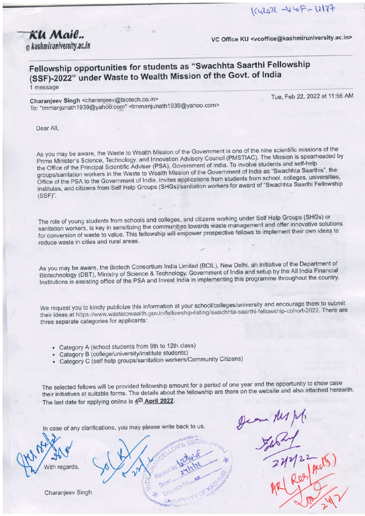KU Mail.. @ kashmiruniversity.ac.in

Tue. Feb 22, 2022 at 11:56 AM

VC Office KU <vcoffice@kashmiruniversity.ac.in>

# Fellowship opportunities for students as "Swachhta Saarthi Fellowship (SSF)-2022" under Waste to Wealth Mission of the Govt. of India

1 message

Charanjeev Singh <charanjeev@biotech.co.in> To: "tmmanjunath1939@yahoo.com" <tmmanjunath1939@yahoo.com>

Dear All.

As you may be aware, the Waste to Wealth Mission of the Government is one of the nine scientific missions of the Prime Minister's Science, Technology, and Innovation Advisory Council (PMSTIAC). The Mission is spearheaded by the Office of the Principal Scientific Adviser (PSA), Government of India. To involve students and self-help groups/sanitation workers in the Waste to Wealth Mission of the Government of India as "Swachhta Saarthis", the Office of the PSA to the Government of India, invites applications from students from school, colleges, universities, institutes, and citizens from Self Help Groups (SHGs)/sanitation workers for award of "Swachhta Saarthi Fellowship  $(SSF)$ ".

The role of young students from schools and colleges, and citizens working under Self Help Groups (SHGs) or sanitation workers, is key in sensitizing the communities towards waste management and offer innovative solutions for conversion of waste to value. This fellowship will empower prospective fellows to implement their own ideas to reduce waste in cities and rural areas.

As you may be aware, the Biotech Consortium India Limited (BCIL), New Delhi, an initiative of the Department of Biotechnology (DBT), Ministry of Science & Technology, Government of India and setup by the All India Financial Institutions is assisting office of the PSA and Invest India in implementing this programme throughout the country.

We request you to kindly publicize this information at your school/colleges/university and encourage them to submit their ideas at https://www.wastetowealth.gov.in/fellowship-listing/swachhta-saarthi-fellowship-cohort-2022. There are three separate categories for applicants:

- Category A (school students from 9th to 12th class)
- Category B (college/university/institute students)
- Category C (self help groups/sanitation workers/Community Citizens)

The selected fellows will be provided fellowship amount for a period of one year and the opportunity to show case their initiatives at suitable forms. The details about the fellowship are there on the website and also attached herewith. The last date for applying online is 4th April 2022.

In case of any clarifications, you may please write back to us.

**abards** 

Charanjeev Singh

Dean My M.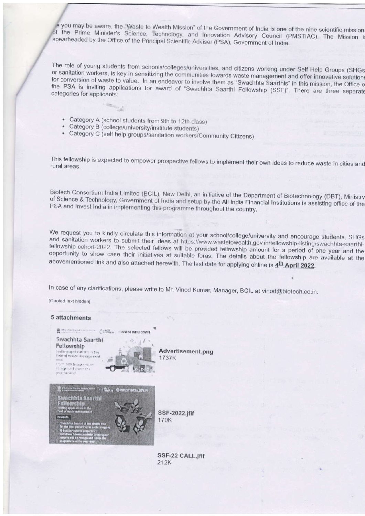is you may be aware, the "Waste to Wealth Mission" of the Government of India is one of the nine scientific mission of the Prime Minister's Science, Technology, and Innovation Advisory Council (PMSTIAC). The Mission is spearheaded by the Office of the Principal Scientific Adviser (PSA), Government of India.

The role of young students from schools/colleges/universities, and citizens working under Self Help Groups (SHGs or sanitation workers, is key in sensitizing the communities towards waste management and offer innovative solutions for conversion of waste to value. In an endeavor to involve them as "Swachhta Saarthis" in this mission, the Office o the PSA is inviting applications for award of "Swachhta Saarthi Fellowship (SSF)". There are three separate categories for applicants:

- Category A (school students from 9th to 12th class)
- Category B (college/university/institute students)
- Category C (self help groups/sanitation workers/Community Citizens)

This fellowship is expected to empower prospective fellows to implement their own ideas to reduce waste in cities and rural areas.

Biotech Consortium India Limited (BCIL), New Delhi, an initiative of the Department of Biotechnology (DBT), Ministry of Science & Technology, Government of India and setup by the All India Financial Institutions is assisting office of the PSA and Invest India in implementing this programme throughout the country.

We request you to kindly circulate this information at your school/college/university and encourage students, SHGs and sanitation workers to submit their ideas at https://www.wastetowealth.gov.in/fellowship-listing/swachhta-saarthifellowship-cohort-2022. The selected fellows will be provided fellowship amount for a period of one year and the opportunity to show case their initiatives at suitable foras. The details about the fellowship are available at the abovementioned link and also attached herewith. The last date for applying online is 4<sup>th</sup> April 2022.

In case of any clarifications, please write to Mr. Vinod Kumar, Manager, BCIL at vinod@biotech.co.in.

[Quoted text hidden]



SSF-22 CALL.jfif 212K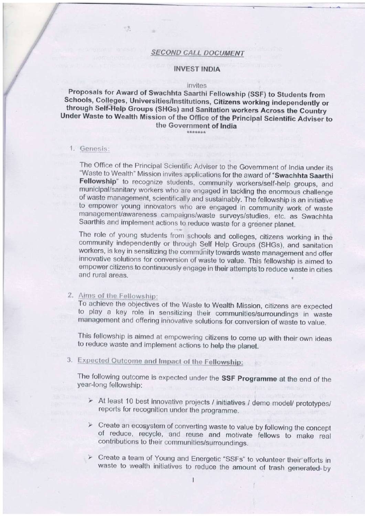### **SECOND CALL DOCUMENT**

#### **INVEST INDIA**

#### invites

## Proposals for Award of Swachhta Saarthi Fellowship (SSF) to Students from Schools, Colleges, Universities/Institutions, Citizens working independently or through Self-Help Groups (SHGs) and Sanitation workers Across the Country Under Waste to Wealth Mission of the Office of the Principal Scientific Adviser to the Government of India

#### 1. Genesis:

The Office of the Principal Scientific Adviser to the Government of India under its "Waste to Wealth" Mission invites applications for the award of "Swachhta Saarthi Fellowship" to recognize students, community workers/self-help groups, and municipal/sanitary workers who are engaged in tackling the enormous challenge of waste management, scientifically and sustainably. The fellowship is an initiative to empower young innovators who are engaged in community work of waste management/awareness campaigns/waste surveys/studies, etc. as Swachhta Saarthis and implement actions to reduce waste for a greener planet.

The role of young students from schools and colleges, citizens working in the community independently or through Self Help Groups (SHGs), and sanitation workers, is key in sensitizing the community towards waste management and offer innovative solutions for conversion of waste to value. This fellowship is aimed to empower citizens to continuously engage in their attempts to reduce waste in cities and rural areas.

#### 2. Aims of the Fellowship:

To achieve the objectives of the Waste to Wealth Mission, citizens are expected to play a key role in sensitizing their communities/surroundings in waste management and offering innovative solutions for conversion of waste to value.

This fellowship is aimed at empowering citizens to come up with their own ideas to reduce waste and implement actions to help the planet.

# 3. Expected Outcome and Impact of the Fellowship:

The following outcome is expected under the SSF Programme at the end of the year-long fellowship:

- > At least 10 best innovative projects / initiatives / demo model/ prototypes/ reports for recognition under the programme.
- $\triangleright$  Create an ecosystem of converting waste to value by following the concept of reduce, recycle, and reuse and motivate fellows to make real contributions to their communities/surroundings.
- > Create a team of Young and Energetic "SSFs" to volunteer their efforts in waste to wealth initiatives to reduce the amount of trash generated by